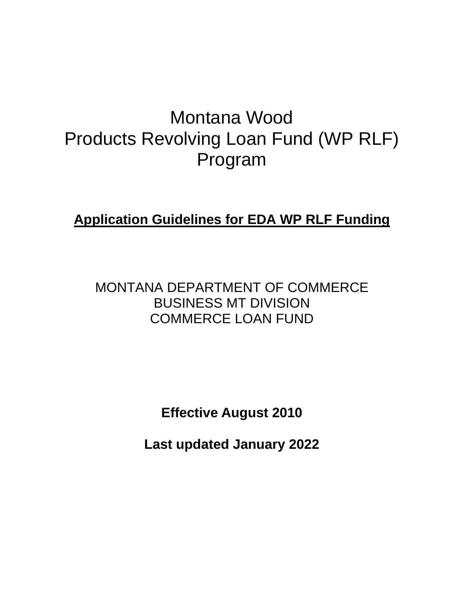# Montana Wood Products Revolving Loan Fund (WP RLF) Program

**Application Guidelines for EDA WP RLF Funding**

MONTANA DEPARTMENT OF COMMERCE BUSINESS MT DIVISION COMMERCE LOAN FUND

**Effective August 2010**

**Last updated January 2022**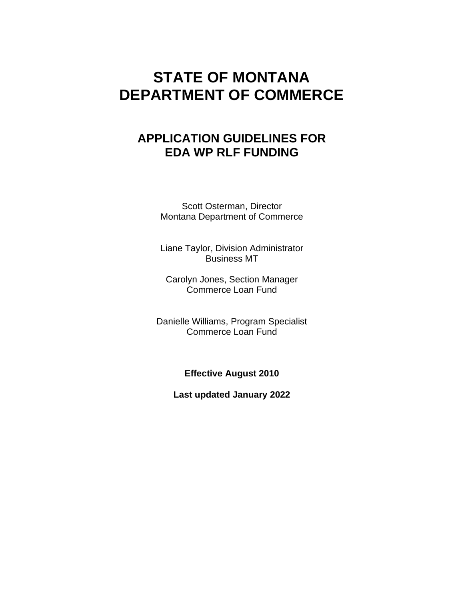# **STATE OF MONTANA DEPARTMENT OF COMMERCE**

# **APPLICATION GUIDELINES FOR EDA WP RLF FUNDING**

Scott Osterman, Director Montana Department of Commerce

Liane Taylor, Division Administrator Business MT

Carolyn Jones, Section Manager Commerce Loan Fund

Danielle Williams, Program Specialist Commerce Loan Fund

**Effective August 2010**

**Last updated January 2022**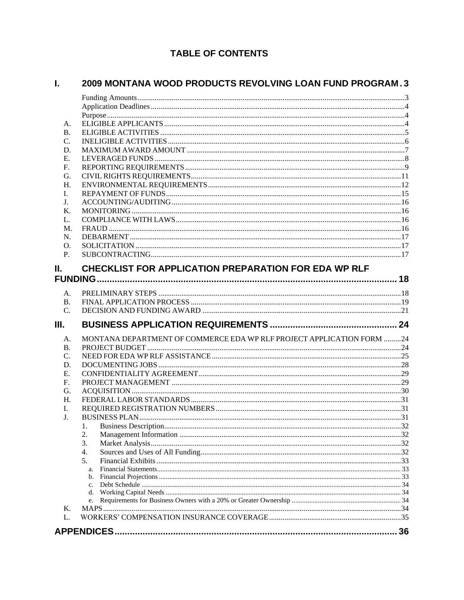# **TABLE OF CONTENTS**

#### $\mathbf{L}$  and 2009 MONTANA WOOD PRODUCTS REVOLVING LOAN FUND PROGRAM. 3

| Ι.<br>J.<br>Κ.<br>L. | 1.<br>3.<br>4.<br>5.<br>a.<br>b.<br>$\mathbf{c}$ .<br>d.<br>e.        |  |
|----------------------|-----------------------------------------------------------------------|--|
|                      |                                                                       |  |
|                      |                                                                       |  |
|                      |                                                                       |  |
|                      |                                                                       |  |
|                      |                                                                       |  |
|                      |                                                                       |  |
|                      |                                                                       |  |
|                      |                                                                       |  |
|                      |                                                                       |  |
|                      |                                                                       |  |
|                      |                                                                       |  |
|                      |                                                                       |  |
|                      |                                                                       |  |
|                      |                                                                       |  |
| H.                   |                                                                       |  |
| G.                   |                                                                       |  |
| F.                   |                                                                       |  |
| Ε.                   |                                                                       |  |
| D.                   |                                                                       |  |
| C.                   |                                                                       |  |
| В.                   |                                                                       |  |
| А.                   | MONTANA DEPARTMENT OF COMMERCE EDA WP RLF PROJECT APPLICATION FORM 24 |  |
|                      |                                                                       |  |
| Ш.                   |                                                                       |  |
| C.                   |                                                                       |  |
| <b>B.</b>            |                                                                       |  |
| A.                   |                                                                       |  |
|                      |                                                                       |  |
|                      |                                                                       |  |
| Н.                   | CHECKLIST FOR APPLICATION PREPARATION FOR EDA WP RLF                  |  |
| P.                   |                                                                       |  |
| O.                   |                                                                       |  |
| N.                   |                                                                       |  |
| M.                   |                                                                       |  |
| L.                   |                                                                       |  |
| Κ.                   |                                                                       |  |
| J.                   |                                                                       |  |
| I.                   |                                                                       |  |
| Н.                   |                                                                       |  |
| G.                   |                                                                       |  |
| F.                   |                                                                       |  |
| Ε.                   |                                                                       |  |
| D.                   |                                                                       |  |
| C.                   |                                                                       |  |
| В.                   |                                                                       |  |
| A.                   |                                                                       |  |
|                      |                                                                       |  |
|                      |                                                                       |  |
|                      |                                                                       |  |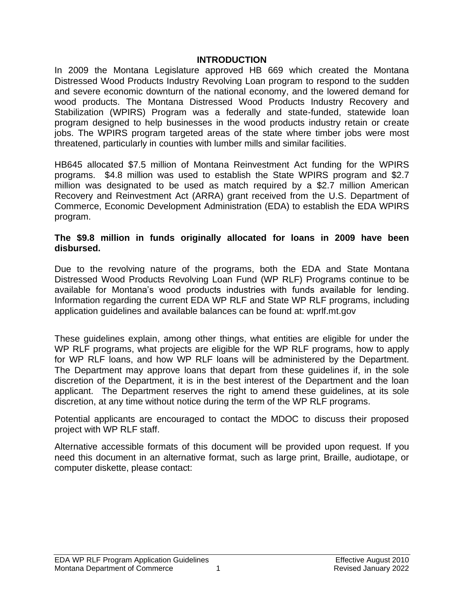#### **INTRODUCTION**

In 2009 the Montana Legislature approved HB 669 which created the Montana Distressed Wood Products Industry Revolving Loan program to respond to the sudden and severe economic downturn of the national economy, and the lowered demand for wood products. The Montana Distressed Wood Products Industry Recovery and Stabilization (WPIRS) Program was a federally and state-funded, statewide loan program designed to help businesses in the wood products industry retain or create jobs. The WPIRS program targeted areas of the state where timber jobs were most threatened, particularly in counties with lumber mills and similar facilities.

HB645 allocated \$7.5 million of Montana Reinvestment Act funding for the WPIRS programs. \$4.8 million was used to establish the State WPIRS program and \$2.7 million was designated to be used as match required by a \$2.7 million American Recovery and Reinvestment Act (ARRA) grant received from the U.S. Department of Commerce, Economic Development Administration (EDA) to establish the EDA WPIRS program.

#### **The \$9.8 million in funds originally allocated for loans in 2009 have been disbursed.**

Due to the revolving nature of the programs, both the EDA and State Montana Distressed Wood Products Revolving Loan Fund (WP RLF) Programs continue to be available for Montana's wood products industries with funds available for lending. Information regarding the current EDA WP RLF and State WP RLF programs, including application guidelines and available balances can be found at: wprlf.mt.gov

These guidelines explain, among other things, what entities are eligible for under the WP RLF programs, what projects are eligible for the WP RLF programs, how to apply for WP RLF loans, and how WP RLF loans will be administered by the Department. The Department may approve loans that depart from these guidelines if, in the sole discretion of the Department, it is in the best interest of the Department and the loan applicant. The Department reserves the right to amend these guidelines, at its sole discretion, at any time without notice during the term of the WP RLF programs.

Potential applicants are encouraged to contact the MDOC to discuss their proposed project with WP RLF staff.

Alternative accessible formats of this document will be provided upon request. If you need this document in an alternative format, such as large print, Braille, audiotape, or computer diskette, please contact: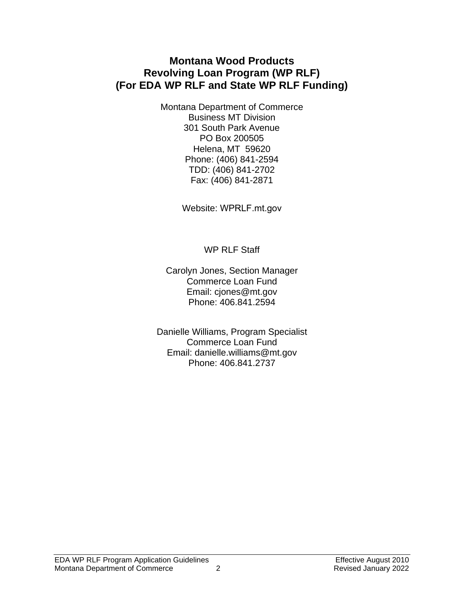# **Montana Wood Products Revolving Loan Program (WP RLF) (For EDA WP RLF and State WP RLF Funding)**

Montana Department of Commerce Business MT Division 301 South Park Avenue PO Box 200505 Helena, MT 59620 Phone: (406) 841-2594 TDD: (406) 841-2702 Fax: (406) 841-2871

Website: WPRLF.mt.gov

WP RLF Staff

Carolyn Jones, Section Manager Commerce Loan Fund Email: cjones@mt.gov Phone: 406.841.2594

Danielle Williams, Program Specialist Commerce Loan Fund Email: danielle.williams@mt.gov Phone: 406.841.2737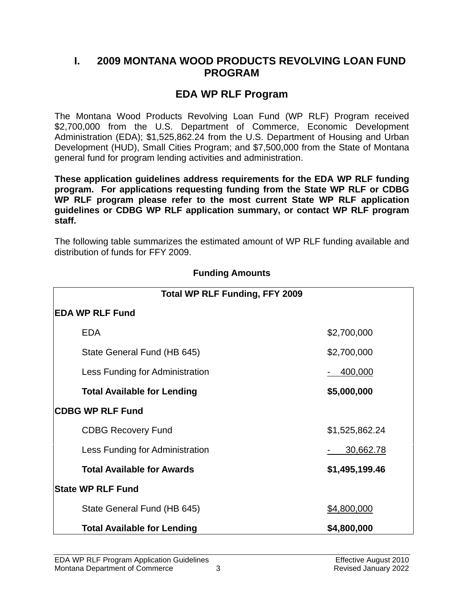# <span id="page-5-0"></span>**I. 2009 MONTANA WOOD PRODUCTS REVOLVING LOAN FUND PROGRAM**

# **EDA WP RLF Program**

The Montana Wood Products Revolving Loan Fund (WP RLF) Program received \$2,700,000 from the U.S. Department of Commerce, Economic Development Administration (EDA); \$1,525,862.24 from the U.S. Department of Housing and Urban Development (HUD), Small Cities Program; and \$7,500,000 from the State of Montana general fund for program lending activities and administration.

**These application guidelines address requirements for the EDA WP RLF funding program. For applications requesting funding from the State WP RLF or CDBG WP RLF program please refer to the most current State WP RLF application guidelines or CDBG WP RLF application summary, or contact WP RLF program staff.**

The following table summarizes the estimated amount of WP RLF funding available and distribution of funds for FFY 2009.

<span id="page-5-1"></span>

| <b>Total WP RLF Funding, FFY 2009</b> |                |  |  |  |  |  |
|---------------------------------------|----------------|--|--|--|--|--|
| <b>EDA WP RLF Fund</b>                |                |  |  |  |  |  |
| <b>EDA</b>                            | \$2,700,000    |  |  |  |  |  |
| State General Fund (HB 645)           | \$2,700,000    |  |  |  |  |  |
| Less Funding for Administration       | 400,000        |  |  |  |  |  |
| <b>Total Available for Lending</b>    | \$5,000,000    |  |  |  |  |  |
| <b>CDBG WP RLF Fund</b>               |                |  |  |  |  |  |
| <b>CDBG Recovery Fund</b>             | \$1,525,862.24 |  |  |  |  |  |
| Less Funding for Administration       | 30,662.78      |  |  |  |  |  |
| <b>Total Available for Awards</b>     | \$1,495,199.46 |  |  |  |  |  |
| <b>State WP RLF Fund</b>              |                |  |  |  |  |  |
| State General Fund (HB 645)           | \$4,800,000    |  |  |  |  |  |
| <b>Total Available for Lending</b>    | \$4,800,000    |  |  |  |  |  |

#### **Funding Amounts**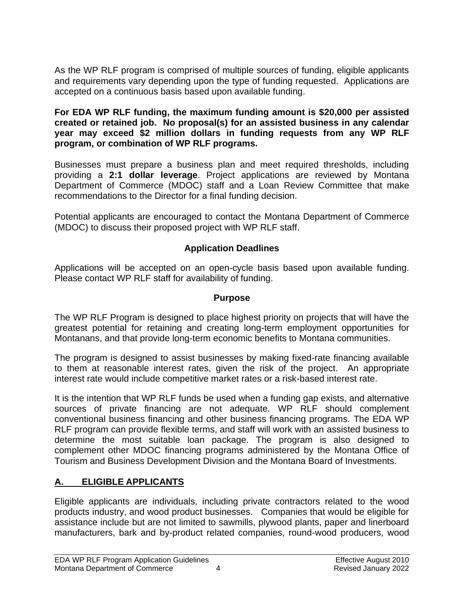As the WP RLF program is comprised of multiple sources of funding, eligible applicants and requirements vary depending upon the type of funding requested. Applications are accepted on a continuous basis based upon available funding.

#### **For EDA WP RLF funding, the maximum funding amount is \$20,000 per assisted created or retained job. No proposal(s) for an assisted business in any calendar year may exceed \$2 million dollars in funding requests from any WP RLF program, or combination of WP RLF programs.**

Businesses must prepare a business plan and meet required thresholds, including providing a **2:1 dollar leverage**. Project applications are reviewed by Montana Department of Commerce (MDOC) staff and a Loan Review Committee that make recommendations to the Director for a final funding decision.

Potential applicants are encouraged to contact the Montana Department of Commerce (MDOC) to discuss their proposed project with WP RLF staff.

# **Application Deadlines**

<span id="page-6-0"></span>Applications will be accepted on an open-cycle basis based upon available funding. Please contact WP RLF staff for availability of funding.

#### **Purpose**

<span id="page-6-1"></span>The WP RLF Program is designed to place highest priority on projects that will have the greatest potential for retaining and creating long-term employment opportunities for Montanans, and that provide long-term economic benefits to Montana communities.

The program is designed to assist businesses by making fixed-rate financing available to them at reasonable interest rates, given the risk of the project. An appropriate interest rate would include competitive market rates or a risk-based interest rate.

It is the intention that WP RLF funds be used when a funding gap exists, and alternative sources of private financing are not adequate. WP RLF should complement conventional business financing and other business financing programs. The EDA WP RLF program can provide flexible terms, and staff will work with an assisted business to determine the most suitable loan package. The program is also designed to complement other MDOC financing programs administered by the Montana Office of Tourism and Business Development Division and the Montana Board of Investments.

# <span id="page-6-2"></span>**A. ELIGIBLE APPLICANTS**

Eligible applicants are individuals, including private contractors related to the wood products industry, and wood product businesses. Companies that would be eligible for assistance include but are not limited to sawmills, plywood plants, paper and linerboard manufacturers, bark and by-product related companies, round-wood producers, wood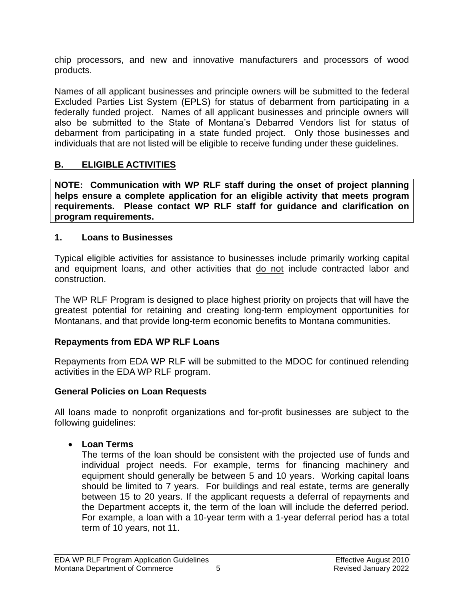chip processors, and new and innovative manufacturers and processors of wood products.

Names of all applicant businesses and principle owners will be submitted to the federal Excluded Parties List System (EPLS) for status of debarment from participating in a federally funded project. Names of all applicant businesses and principle owners will also be submitted to the State of Montana's Debarred Vendors list for status of debarment from participating in a state funded project. Only those businesses and individuals that are not listed will be eligible to receive funding under these guidelines.

# <span id="page-7-0"></span>**B. ELIGIBLE ACTIVITIES**

**NOTE: Communication with WP RLF staff during the onset of project planning helps ensure a complete application for an eligible activity that meets program requirements. Please contact WP RLF staff for guidance and clarification on program requirements.**

#### **1. Loans to Businesses**

Typical eligible activities for assistance to businesses include primarily working capital and equipment loans, and other activities that do not include contracted labor and construction.

The WP RLF Program is designed to place highest priority on projects that will have the greatest potential for retaining and creating long-term employment opportunities for Montanans, and that provide long-term economic benefits to Montana communities.

# **Repayments from EDA WP RLF Loans**

Repayments from EDA WP RLF will be submitted to the MDOC for continued relending activities in the EDA WP RLF program.

# **General Policies on Loan Requests**

All loans made to nonprofit organizations and for-profit businesses are subject to the following guidelines:

• **Loan Terms**

The terms of the loan should be consistent with the projected use of funds and individual project needs. For example, terms for financing machinery and equipment should generally be between 5 and 10 years. Working capital loans should be limited to 7 years. For buildings and real estate, terms are generally between 15 to 20 years. If the applicant requests a deferral of repayments and the Department accepts it, the term of the loan will include the deferred period. For example, a loan with a 10-year term with a 1-year deferral period has a total term of 10 years, not 11.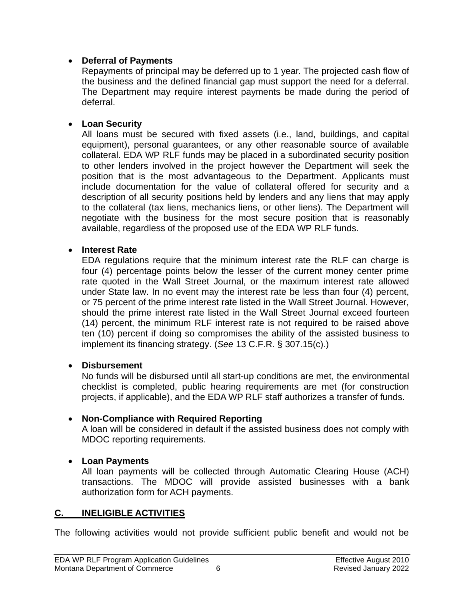#### • **Deferral of Payments**

Repayments of principal may be deferred up to 1 year. The projected cash flow of the business and the defined financial gap must support the need for a deferral. The Department may require interest payments be made during the period of deferral.

#### • **Loan Security**

All loans must be secured with fixed assets (i.e., land, buildings, and capital equipment), personal guarantees, or any other reasonable source of available collateral. EDA WP RLF funds may be placed in a subordinated security position to other lenders involved in the project however the Department will seek the position that is the most advantageous to the Department. Applicants must include documentation for the value of collateral offered for security and a description of all security positions held by lenders and any liens that may apply to the collateral (tax liens, mechanics liens, or other liens). The Department will negotiate with the business for the most secure position that is reasonably available, regardless of the proposed use of the EDA WP RLF funds.

#### • **Interest Rate**

EDA regulations require that the minimum interest rate the RLF can charge is four (4) percentage points below the lesser of the current money center prime rate quoted in the Wall Street Journal, or the maximum interest rate allowed under State law. In no event may the interest rate be less than four (4) percent, or 75 percent of the prime interest rate listed in the Wall Street Journal. However, should the prime interest rate listed in the Wall Street Journal exceed fourteen (14) percent, the minimum RLF interest rate is not required to be raised above ten (10) percent if doing so compromises the ability of the assisted business to implement its financing strategy. (*See* 13 C.F.R. § 307.15(c).)

#### • **Disbursement**

No funds will be disbursed until all start-up conditions are met, the environmental checklist is completed, public hearing requirements are met (for construction projects, if applicable), and the EDA WP RLF staff authorizes a transfer of funds.

#### • **Non-Compliance with Required Reporting**

A loan will be considered in default if the assisted business does not comply with MDOC reporting requirements.

#### • **Loan Payments**

All loan payments will be collected through Automatic Clearing House (ACH) transactions. The MDOC will provide assisted businesses with a bank authorization form for ACH payments.

#### <span id="page-8-0"></span>**C. INELIGIBLE ACTIVITIES**

The following activities would not provide sufficient public benefit and would not be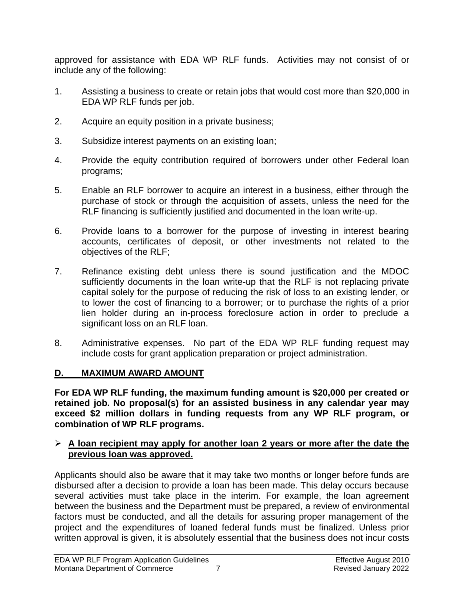approved for assistance with EDA WP RLF funds. Activities may not consist of or include any of the following:

- 1. Assisting a business to create or retain jobs that would cost more than \$20,000 in EDA WP RLF funds per job.
- 2. Acquire an equity position in a private business;
- 3. Subsidize interest payments on an existing loan;
- 4. Provide the equity contribution required of borrowers under other Federal loan programs;
- 5. Enable an RLF borrower to acquire an interest in a business, either through the purchase of stock or through the acquisition of assets, unless the need for the RLF financing is sufficiently justified and documented in the loan write-up.
- 6. Provide loans to a borrower for the purpose of investing in interest bearing accounts, certificates of deposit, or other investments not related to the objectives of the RLF;
- 7. Refinance existing debt unless there is sound justification and the MDOC sufficiently documents in the loan write-up that the RLF is not replacing private capital solely for the purpose of reducing the risk of loss to an existing lender, or to lower the cost of financing to a borrower; or to purchase the rights of a prior lien holder during an in-process foreclosure action in order to preclude a significant loss on an RLF loan.
- 8. Administrative expenses. No part of the EDA WP RLF funding request may include costs for grant application preparation or project administration.

# <span id="page-9-0"></span>**D. MAXIMUM AWARD AMOUNT**

**For EDA WP RLF funding, the maximum funding amount is \$20,000 per created or retained job. No proposal(s) for an assisted business in any calendar year may exceed \$2 million dollars in funding requests from any WP RLF program, or combination of WP RLF programs.** 

#### ➢ **A loan recipient may apply for another loan 2 years or more after the date the previous loan was approved.**

Applicants should also be aware that it may take two months or longer before funds are disbursed after a decision to provide a loan has been made. This delay occurs because several activities must take place in the interim. For example, the loan agreement between the business and the Department must be prepared, a review of environmental factors must be conducted, and all the details for assuring proper management of the project and the expenditures of loaned federal funds must be finalized. Unless prior written approval is given, it is absolutely essential that the business does not incur costs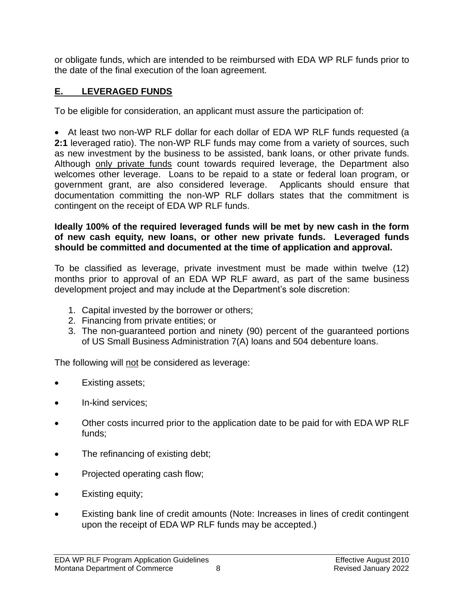or obligate funds, which are intended to be reimbursed with EDA WP RLF funds prior to the date of the final execution of the loan agreement.

# <span id="page-10-0"></span>**E. LEVERAGED FUNDS**

To be eligible for consideration, an applicant must assure the participation of:

• At least two non-WP RLF dollar for each dollar of EDA WP RLF funds requested (a **2:1** leveraged ratio). The non-WP RLF funds may come from a variety of sources, such as new investment by the business to be assisted, bank loans, or other private funds. Although only private funds count towards required leverage, the Department also welcomes other leverage. Loans to be repaid to a state or federal loan program, or government grant, are also considered leverage. Applicants should ensure that documentation committing the non-WP RLF dollars states that the commitment is contingent on the receipt of EDA WP RLF funds.

#### **Ideally 100% of the required leveraged funds will be met by new cash in the form of new cash equity, new loans, or other new private funds. Leveraged funds should be committed and documented at the time of application and approval.**

To be classified as leverage, private investment must be made within twelve (12) months prior to approval of an EDA WP RLF award, as part of the same business development project and may include at the Department's sole discretion:

- 1. Capital invested by the borrower or others;
- 2. Financing from private entities; or
- 3. The non-guaranteed portion and ninety (90) percent of the guaranteed portions of US Small Business Administration 7(A) loans and 504 debenture loans.

The following will not be considered as leverage:

- Existing assets;
- In-kind services;
- Other costs incurred prior to the application date to be paid for with EDA WP RLF funds;
- The refinancing of existing debt;
- Projected operating cash flow;
- Existing equity;
- Existing bank line of credit amounts (Note: Increases in lines of credit contingent upon the receipt of EDA WP RLF funds may be accepted.)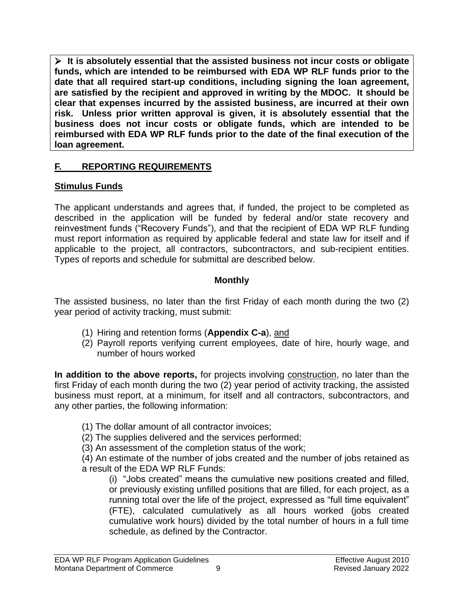➢ **It is absolutely essential that the assisted business not incur costs or obligate funds, which are intended to be reimbursed with EDA WP RLF funds prior to the date that all required start-up conditions, including signing the loan agreement, are satisfied by the recipient and approved in writing by the MDOC. It should be clear that expenses incurred by the assisted business, are incurred at their own risk. Unless prior written approval is given, it is absolutely essential that the business does not incur costs or obligate funds, which are intended to be reimbursed with EDA WP RLF funds prior to the date of the final execution of the loan agreement.**

# <span id="page-11-0"></span>**F. REPORTING REQUIREMENTS**

# **Stimulus Funds**

The applicant understands and agrees that, if funded, the project to be completed as described in the application will be funded by federal and/or state recovery and reinvestment funds ("Recovery Funds"), and that the recipient of EDA WP RLF funding must report information as required by applicable federal and state law for itself and if applicable to the project, all contractors, subcontractors, and sub-recipient entities. Types of reports and schedule for submittal are described below.

# **Monthly**

The assisted business, no later than the first Friday of each month during the two (2) year period of activity tracking, must submit:

- (1) Hiring and retention forms (**Appendix C-a**), and
- (2) Payroll reports verifying current employees, date of hire, hourly wage, and number of hours worked

**In addition to the above reports,** for projects involving construction, no later than the first Friday of each month during the two (2) year period of activity tracking, the assisted business must report, at a minimum, for itself and all contractors, subcontractors, and any other parties, the following information:

- (1) The dollar amount of all contractor invoices;
- (2) The supplies delivered and the services performed;

(3) An assessment of the completion status of the work;

(4) An estimate of the number of jobs created and the number of jobs retained as a result of the EDA WP RLF Funds:

(i) "Jobs created" means the cumulative new positions created and filled, or previously existing unfilled positions that are filled, for each project, as a running total over the life of the project, expressed as "full time equivalent" (FTE), calculated cumulatively as all hours worked (jobs created cumulative work hours) divided by the total number of hours in a full time schedule, as defined by the Contractor.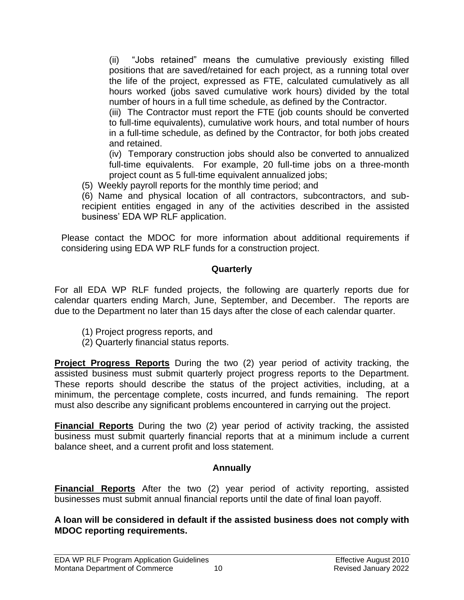(ii) "Jobs retained" means the cumulative previously existing filled positions that are saved/retained for each project, as a running total over the life of the project, expressed as FTE, calculated cumulatively as all hours worked (jobs saved cumulative work hours) divided by the total number of hours in a full time schedule, as defined by the Contractor.

(iii) The Contractor must report the FTE (job counts should be converted to full-time equivalents), cumulative work hours, and total number of hours in a full-time schedule, as defined by the Contractor, for both jobs created and retained.

(iv) Temporary construction jobs should also be converted to annualized full-time equivalents. For example, 20 full-time jobs on a three-month project count as 5 full-time equivalent annualized jobs;

(5) Weekly payroll reports for the monthly time period; and

(6) Name and physical location of all contractors, subcontractors, and subrecipient entities engaged in any of the activities described in the assisted business' EDA WP RLF application.

Please contact the MDOC for more information about additional requirements if considering using EDA WP RLF funds for a construction project.

# **Quarterly**

For all EDA WP RLF funded projects, the following are quarterly reports due for calendar quarters ending March, June, September, and December. The reports are due to the Department no later than 15 days after the close of each calendar quarter.

- (1) Project progress reports, and
- (2) Quarterly financial status reports.

**Project Progress Reports** During the two (2) year period of activity tracking, the assisted business must submit quarterly project progress reports to the Department. These reports should describe the status of the project activities, including, at a minimum, the percentage complete, costs incurred, and funds remaining. The report must also describe any significant problems encountered in carrying out the project.

**Financial Reports** During the two (2) year period of activity tracking, the assisted business must submit quarterly financial reports that at a minimum include a current balance sheet, and a current profit and loss statement.

# **Annually**

**Financial Reports** After the two (2) year period of activity reporting, assisted businesses must submit annual financial reports until the date of final loan payoff.

#### **A loan will be considered in default if the assisted business does not comply with MDOC reporting requirements.**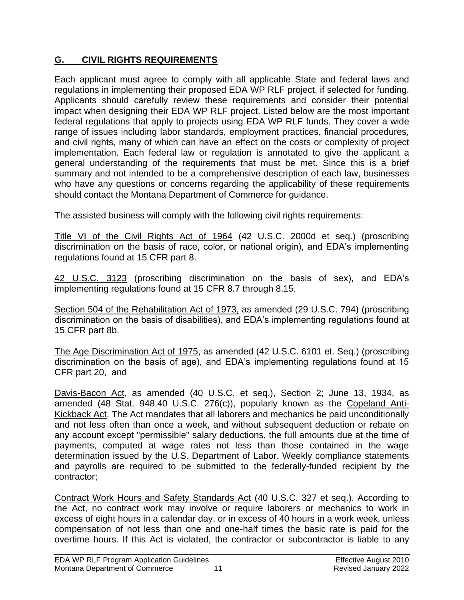# <span id="page-13-0"></span>**G. CIVIL RIGHTS REQUIREMENTS**

Each applicant must agree to comply with all applicable State and federal laws and regulations in implementing their proposed EDA WP RLF project, if selected for funding. Applicants should carefully review these requirements and consider their potential impact when designing their EDA WP RLF project. Listed below are the most important federal regulations that apply to projects using EDA WP RLF funds. They cover a wide range of issues including labor standards, employment practices, financial procedures, and civil rights, many of which can have an effect on the costs or complexity of project implementation. Each federal law or regulation is annotated to give the applicant a general understanding of the requirements that must be met. Since this is a brief summary and not intended to be a comprehensive description of each law, businesses who have any questions or concerns regarding the applicability of these requirements should contact the Montana Department of Commerce for guidance.

The assisted business will comply with the following civil rights requirements:

Title VI of the Civil Rights Act of 1964 (42 U.S.C. 2000d et seq.) (proscribing discrimination on the basis of race, color, or national origin), and EDA's implementing regulations found at 15 CFR part 8.

42 U.S.C. 3123 (proscribing discrimination on the basis of sex), and EDA's implementing regulations found at 15 CFR 8.7 through 8.15.

Section 504 of the Rehabilitation Act of 1973, as amended (29 U.S.C. 794) (proscribing discrimination on the basis of disabilities), and EDA's implementing regulations found at 15 CFR part 8b.

The Age Discrimination Act of 1975, as amended (42 U.S.C. 6101 et. Seq.) (proscribing discrimination on the basis of age), and EDA's implementing regulations found at 15 CFR part 20, and

Davis-Bacon Act, as amended (40 U.S.C. et seq.), Section 2; June 13, 1934, as amended (48 Stat. 948.40 U.S.C. 276(c)), popularly known as the Copeland Anti-Kickback Act. The Act mandates that all laborers and mechanics be paid unconditionally and not less often than once a week, and without subsequent deduction or rebate on any account except "permissible" salary deductions, the full amounts due at the time of payments, computed at wage rates not less than those contained in the wage determination issued by the U.S. Department of Labor. Weekly compliance statements and payrolls are required to be submitted to the federally-funded recipient by the contractor;

Contract Work Hours and Safety Standards Act (40 U.S.C. 327 et seq.). According to the Act, no contract work may involve or require laborers or mechanics to work in excess of eight hours in a calendar day, or in excess of 40 hours in a work week, unless compensation of not less than one and one-half times the basic rate is paid for the overtime hours. If this Act is violated, the contractor or subcontractor is liable to any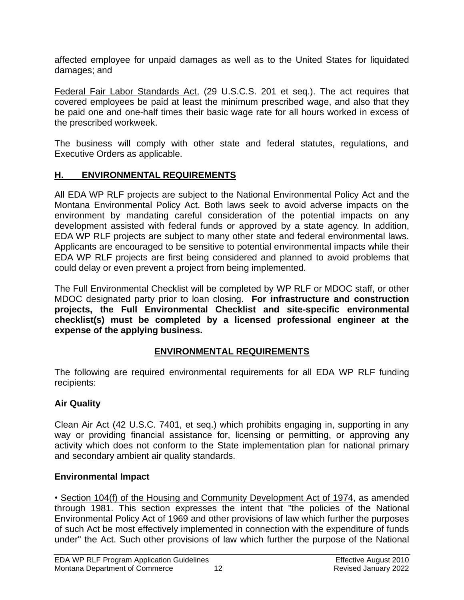affected employee for unpaid damages as well as to the United States for liquidated damages; and

Federal Fair Labor Standards Act, (29 U.S.C.S. 201 et seq.). The act requires that covered employees be paid at least the minimum prescribed wage, and also that they be paid one and one-half times their basic wage rate for all hours worked in excess of the prescribed workweek.

The business will comply with other state and federal statutes, regulations, and Executive Orders as applicable.

# <span id="page-14-0"></span>**H. ENVIRONMENTAL REQUIREMENTS**

All EDA WP RLF projects are subject to the National Environmental Policy Act and the Montana Environmental Policy Act. Both laws seek to avoid adverse impacts on the environment by mandating careful consideration of the potential impacts on any development assisted with federal funds or approved by a state agency. In addition, EDA WP RLF projects are subject to many other state and federal environmental laws. Applicants are encouraged to be sensitive to potential environmental impacts while their EDA WP RLF projects are first being considered and planned to avoid problems that could delay or even prevent a project from being implemented.

The Full Environmental Checklist will be completed by WP RLF or MDOC staff, or other MDOC designated party prior to loan closing. **For infrastructure and construction projects, the Full Environmental Checklist and site-specific environmental checklist(s) must be completed by a licensed professional engineer at the expense of the applying business.**

# **ENVIRONMENTAL REQUIREMENTS**

The following are required environmental requirements for all EDA WP RLF funding recipients:

# **Air Quality**

Clean Air Act (42 U.S.C. 7401, et seq.) which prohibits engaging in, supporting in any way or providing financial assistance for, licensing or permitting, or approving any activity which does not conform to the State implementation plan for national primary and secondary ambient air quality standards.

# **Environmental Impact**

• Section 104(f) of the Housing and Community Development Act of 1974, as amended through 1981. This section expresses the intent that "the policies of the National Environmental Policy Act of 1969 and other provisions of law which further the purposes of such Act be most effectively implemented in connection with the expenditure of funds under" the Act. Such other provisions of law which further the purpose of the National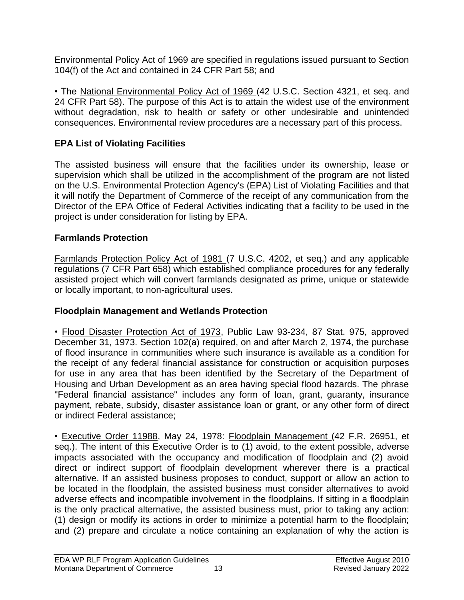Environmental Policy Act of 1969 are specified in regulations issued pursuant to Section 104(f) of the Act and contained in 24 CFR Part 58; and

• The National Environmental Policy Act of 1969 (42 U.S.C. Section 4321, et seq. and 24 CFR Part 58). The purpose of this Act is to attain the widest use of the environment without degradation, risk to health or safety or other undesirable and unintended consequences. Environmental review procedures are a necessary part of this process.

# **EPA List of Violating Facilities**

The assisted business will ensure that the facilities under its ownership, lease or supervision which shall be utilized in the accomplishment of the program are not listed on the U.S. Environmental Protection Agency's (EPA) List of Violating Facilities and that it will notify the Department of Commerce of the receipt of any communication from the Director of the EPA Office of Federal Activities indicating that a facility to be used in the project is under consideration for listing by EPA.

# **Farmlands Protection**

Farmlands Protection Policy Act of 1981 (7 U.S.C. 4202, et seq.) and any applicable regulations (7 CFR Part 658) which established compliance procedures for any federally assisted project which will convert farmlands designated as prime, unique or statewide or locally important, to non-agricultural uses.

# **Floodplain Management and Wetlands Protection**

• Flood Disaster Protection Act of 1973, Public Law 93-234, 87 Stat. 975, approved December 31, 1973. Section 102(a) required, on and after March 2, 1974, the purchase of flood insurance in communities where such insurance is available as a condition for the receipt of any federal financial assistance for construction or acquisition purposes for use in any area that has been identified by the Secretary of the Department of Housing and Urban Development as an area having special flood hazards. The phrase "Federal financial assistance" includes any form of loan, grant, guaranty, insurance payment, rebate, subsidy, disaster assistance loan or grant, or any other form of direct or indirect Federal assistance;

• Executive Order 11988, May 24, 1978: Floodplain Management (42 F.R. 26951, et seq.). The intent of this Executive Order is to (1) avoid, to the extent possible, adverse impacts associated with the occupancy and modification of floodplain and (2) avoid direct or indirect support of floodplain development wherever there is a practical alternative. If an assisted business proposes to conduct, support or allow an action to be located in the floodplain, the assisted business must consider alternatives to avoid adverse effects and incompatible involvement in the floodplains. If sitting in a floodplain is the only practical alternative, the assisted business must, prior to taking any action: (1) design or modify its actions in order to minimize a potential harm to the floodplain; and (2) prepare and circulate a notice containing an explanation of why the action is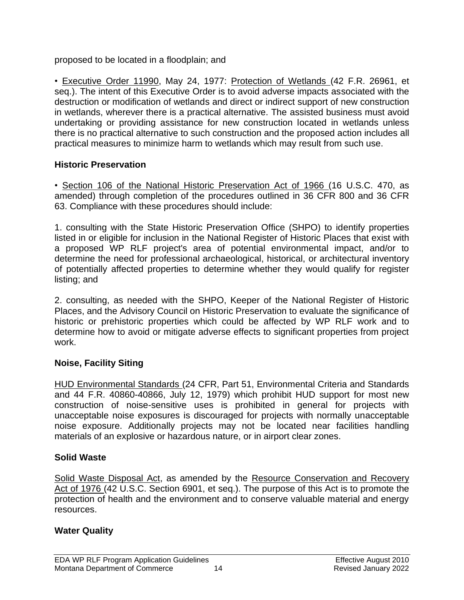proposed to be located in a floodplain; and

• Executive Order 11990, May 24, 1977: Protection of Wetlands (42 F.R. 26961, et seq.). The intent of this Executive Order is to avoid adverse impacts associated with the destruction or modification of wetlands and direct or indirect support of new construction in wetlands, wherever there is a practical alternative. The assisted business must avoid undertaking or providing assistance for new construction located in wetlands unless there is no practical alternative to such construction and the proposed action includes all practical measures to minimize harm to wetlands which may result from such use.

# **Historic Preservation**

• Section 106 of the National Historic Preservation Act of 1966 (16 U.S.C. 470, as amended) through completion of the procedures outlined in 36 CFR 800 and 36 CFR 63. Compliance with these procedures should include:

1. consulting with the State Historic Preservation Office (SHPO) to identify properties listed in or eligible for inclusion in the National Register of Historic Places that exist with a proposed WP RLF project's area of potential environmental impact, and/or to determine the need for professional archaeological, historical, or architectural inventory of potentially affected properties to determine whether they would qualify for register listing; and

2. consulting, as needed with the SHPO, Keeper of the National Register of Historic Places, and the Advisory Council on Historic Preservation to evaluate the significance of historic or prehistoric properties which could be affected by WP RLF work and to determine how to avoid or mitigate adverse effects to significant properties from project work.

# **Noise, Facility Siting**

HUD Environmental Standards (24 CFR, Part 51, Environmental Criteria and Standards and 44 F.R. 40860-40866, July 12, 1979) which prohibit HUD support for most new construction of noise-sensitive uses is prohibited in general for projects with unacceptable noise exposures is discouraged for projects with normally unacceptable noise exposure. Additionally projects may not be located near facilities handling materials of an explosive or hazardous nature, or in airport clear zones.

# **Solid Waste**

Solid Waste Disposal Act, as amended by the Resource Conservation and Recovery Act of 1976 (42 U.S.C. Section 6901, et seq.). The purpose of this Act is to promote the protection of health and the environment and to conserve valuable material and energy resources.

# **Water Quality**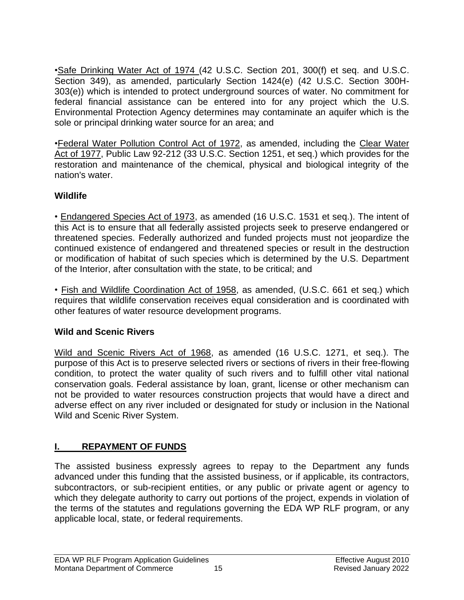•Safe Drinking Water Act of 1974 (42 U.S.C. Section 201, 300(f) et seq. and U.S.C. Section 349), as amended, particularly Section 1424(e) (42 U.S.C. Section 300H-303(e)) which is intended to protect underground sources of water. No commitment for federal financial assistance can be entered into for any project which the U.S. Environmental Protection Agency determines may contaminate an aquifer which is the sole or principal drinking water source for an area; and

•Federal Water Pollution Control Act of 1972, as amended, including the Clear Water Act of 1977, Public Law 92-212 (33 U.S.C. Section 1251, et seq.) which provides for the restoration and maintenance of the chemical, physical and biological integrity of the nation's water.

# **Wildlife**

• Endangered Species Act of 1973, as amended (16 U.S.C. 1531 et seq.). The intent of this Act is to ensure that all federally assisted projects seek to preserve endangered or threatened species. Federally authorized and funded projects must not jeopardize the continued existence of endangered and threatened species or result in the destruction or modification of habitat of such species which is determined by the U.S. Department of the Interior, after consultation with the state, to be critical; and

• Fish and Wildlife Coordination Act of 1958, as amended, (U.S.C. 661 et seq.) which requires that wildlife conservation receives equal consideration and is coordinated with other features of water resource development programs.

# **Wild and Scenic Rivers**

Wild and Scenic Rivers Act of 1968, as amended (16 U.S.C. 1271, et seq.). The purpose of this Act is to preserve selected rivers or sections of rivers in their free-flowing condition, to protect the water quality of such rivers and to fulfill other vital national conservation goals. Federal assistance by loan, grant, license or other mechanism can not be provided to water resources construction projects that would have a direct and adverse effect on any river included or designated for study or inclusion in the National Wild and Scenic River System.

# <span id="page-17-0"></span>**I. REPAYMENT OF FUNDS**

The assisted business expressly agrees to repay to the Department any funds advanced under this funding that the assisted business, or if applicable, its contractors, subcontractors, or sub-recipient entities, or any public or private agent or agency to which they delegate authority to carry out portions of the project, expends in violation of the terms of the statutes and regulations governing the EDA WP RLF program, or any applicable local, state, or federal requirements.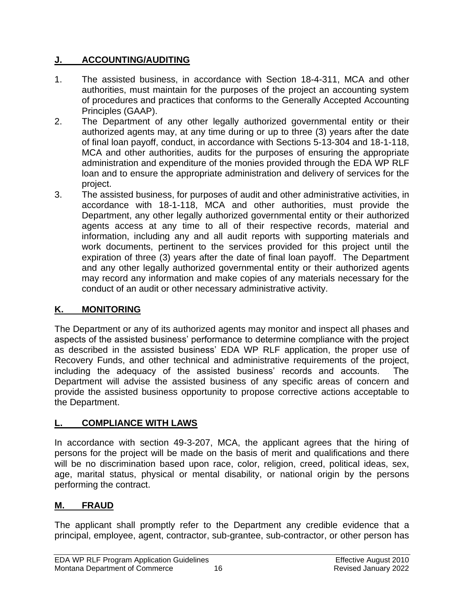# <span id="page-18-0"></span>**J. ACCOUNTING/AUDITING**

- 1. The assisted business, in accordance with Section 18-4-311, MCA and other authorities, must maintain for the purposes of the project an accounting system of procedures and practices that conforms to the Generally Accepted Accounting Principles (GAAP).
- 2. The Department of any other legally authorized governmental entity or their authorized agents may, at any time during or up to three (3) years after the date of final loan payoff, conduct, in accordance with Sections 5-13-304 and 18-1-118, MCA and other authorities, audits for the purposes of ensuring the appropriate administration and expenditure of the monies provided through the EDA WP RLF loan and to ensure the appropriate administration and delivery of services for the project.
- 3. The assisted business, for purposes of audit and other administrative activities, in accordance with 18-1-118, MCA and other authorities, must provide the Department, any other legally authorized governmental entity or their authorized agents access at any time to all of their respective records, material and information, including any and all audit reports with supporting materials and work documents, pertinent to the services provided for this project until the expiration of three (3) years after the date of final loan payoff. The Department and any other legally authorized governmental entity or their authorized agents may record any information and make copies of any materials necessary for the conduct of an audit or other necessary administrative activity.

# <span id="page-18-1"></span>**K. MONITORING**

The Department or any of its authorized agents may monitor and inspect all phases and aspects of the assisted business' performance to determine compliance with the project as described in the assisted business' EDA WP RLF application, the proper use of Recovery Funds, and other technical and administrative requirements of the project, including the adequacy of the assisted business' records and accounts. The Department will advise the assisted business of any specific areas of concern and provide the assisted business opportunity to propose corrective actions acceptable to the Department.

# <span id="page-18-2"></span>**L. COMPLIANCE WITH LAWS**

In accordance with section 49-3-207, MCA, the applicant agrees that the hiring of persons for the project will be made on the basis of merit and qualifications and there will be no discrimination based upon race, color, religion, creed, political ideas, sex, age, marital status, physical or mental disability, or national origin by the persons performing the contract.

# <span id="page-18-3"></span>**M. FRAUD**

The applicant shall promptly refer to the Department any credible evidence that a principal, employee, agent, contractor, sub-grantee, sub-contractor, or other person has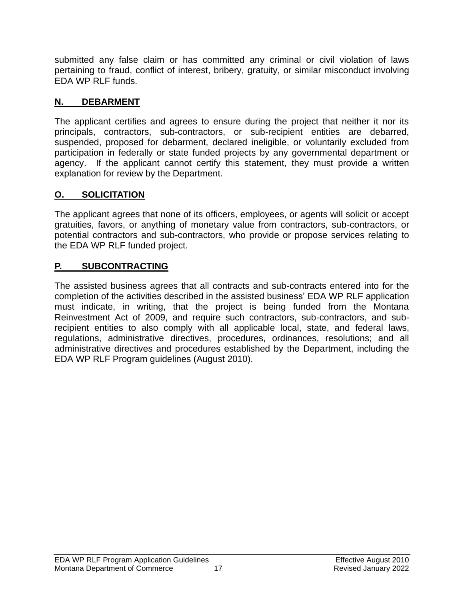submitted any false claim or has committed any criminal or civil violation of laws pertaining to fraud, conflict of interest, bribery, gratuity, or similar misconduct involving EDA WP RLF funds.

# <span id="page-19-0"></span>**N. DEBARMENT**

The applicant certifies and agrees to ensure during the project that neither it nor its principals, contractors, sub-contractors, or sub-recipient entities are debarred, suspended, proposed for debarment, declared ineligible, or voluntarily excluded from participation in federally or state funded projects by any governmental department or agency. If the applicant cannot certify this statement, they must provide a written explanation for review by the Department.

# <span id="page-19-1"></span>**O. SOLICITATION**

The applicant agrees that none of its officers, employees, or agents will solicit or accept gratuities, favors, or anything of monetary value from contractors, sub-contractors, or potential contractors and sub-contractors, who provide or propose services relating to the EDA WP RLF funded project.

# <span id="page-19-2"></span>**P. SUBCONTRACTING**

The assisted business agrees that all contracts and sub-contracts entered into for the completion of the activities described in the assisted business' EDA WP RLF application must indicate, in writing, that the project is being funded from the Montana Reinvestment Act of 2009, and require such contractors, sub-contractors, and subrecipient entities to also comply with all applicable local, state, and federal laws, regulations, administrative directives, procedures, ordinances, resolutions; and all administrative directives and procedures established by the Department, including the EDA WP RLF Program guidelines (August 2010).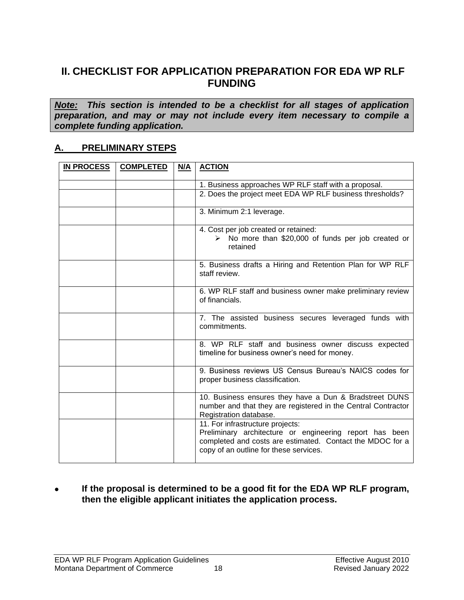# <span id="page-20-0"></span>**II. CHECKLIST FOR APPLICATION PREPARATION FOR EDA WP RLF FUNDING**

*Note: This section is intended to be a checklist for all stages of application preparation, and may or may not include every item necessary to compile a complete funding application.*

#### <span id="page-20-1"></span>**A. PRELIMINARY STEPS**

| <b>IN PROCESS</b> | <b>COMPLETED</b> | N/A | <b>ACTION</b>                                                                                                                                                                                      |
|-------------------|------------------|-----|----------------------------------------------------------------------------------------------------------------------------------------------------------------------------------------------------|
|                   |                  |     | 1. Business approaches WP RLF staff with a proposal.                                                                                                                                               |
|                   |                  |     | 2. Does the project meet EDA WP RLF business thresholds?                                                                                                                                           |
|                   |                  |     |                                                                                                                                                                                                    |
|                   |                  |     | 3. Minimum 2:1 leverage.                                                                                                                                                                           |
|                   |                  |     | 4. Cost per job created or retained:<br>$\triangleright$ No more than \$20,000 of funds per job created or<br>retained                                                                             |
|                   |                  |     | 5. Business drafts a Hiring and Retention Plan for WP RLF<br>staff review.                                                                                                                         |
|                   |                  |     | 6. WP RLF staff and business owner make preliminary review<br>of financials.                                                                                                                       |
|                   |                  |     | 7. The assisted business secures leveraged funds with<br>commitments.                                                                                                                              |
|                   |                  |     | 8. WP RLF staff and business owner discuss expected<br>timeline for business owner's need for money.                                                                                               |
|                   |                  |     | 9. Business reviews US Census Bureau's NAICS codes for<br>proper business classification.                                                                                                          |
|                   |                  |     | 10. Business ensures they have a Dun & Bradstreet DUNS<br>number and that they are registered in the Central Contractor<br>Registration database.                                                  |
|                   |                  |     | 11. For infrastructure projects:<br>Preliminary architecture or engineering report has been<br>completed and costs are estimated. Contact the MDOC for a<br>copy of an outline for these services. |

#### • **If the proposal is determined to be a good fit for the EDA WP RLF program, then the eligible applicant initiates the application process.**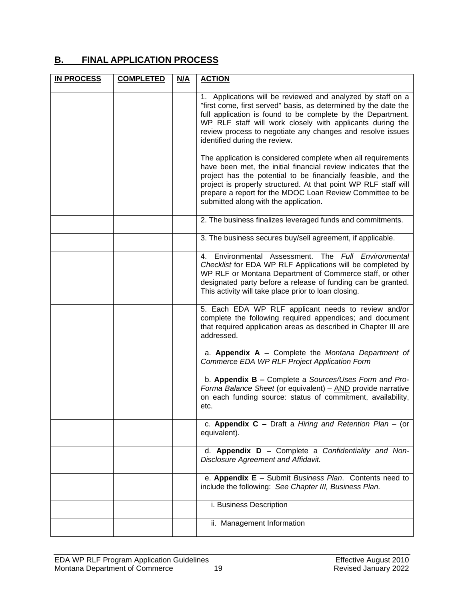# <span id="page-21-0"></span>**B. FINAL APPLICATION PROCESS**

| <b>IN PROCESS</b> | <b>COMPLETED</b> | N/A | <b>ACTION</b>                                                                                                                                                                                                                                                                                                                                                            |
|-------------------|------------------|-----|--------------------------------------------------------------------------------------------------------------------------------------------------------------------------------------------------------------------------------------------------------------------------------------------------------------------------------------------------------------------------|
|                   |                  |     | 1. Applications will be reviewed and analyzed by staff on a<br>"first come, first served" basis, as determined by the date the<br>full application is found to be complete by the Department.<br>WP RLF staff will work closely with applicants during the<br>review process to negotiate any changes and resolve issues<br>identified during the review.                |
|                   |                  |     | The application is considered complete when all requirements<br>have been met, the initial financial review indicates that the<br>project has the potential to be financially feasible, and the<br>project is properly structured. At that point WP RLF staff will<br>prepare a report for the MDOC Loan Review Committee to be<br>submitted along with the application. |
|                   |                  |     | 2. The business finalizes leveraged funds and commitments.                                                                                                                                                                                                                                                                                                               |
|                   |                  |     | 3. The business secures buy/sell agreement, if applicable.                                                                                                                                                                                                                                                                                                               |
|                   |                  |     | 4. Environmental Assessment. The Full Environmental<br>Checklist for EDA WP RLF Applications will be completed by<br>WP RLF or Montana Department of Commerce staff, or other<br>designated party before a release of funding can be granted.<br>This activity will take place prior to loan closing.                                                                    |
|                   |                  |     | 5. Each EDA WP RLF applicant needs to review and/or<br>complete the following required appendices; and document<br>that required application areas as described in Chapter III are<br>addressed.                                                                                                                                                                         |
|                   |                  |     | a. Appendix $A -$ Complete the Montana Department of<br>Commerce EDA WP RLF Project Application Form                                                                                                                                                                                                                                                                     |
|                   |                  |     | b. Appendix B - Complete a Sources/Uses Form and Pro-<br>Forma Balance Sheet (or equivalent) - AND provide narrative<br>on each funding source: status of commitment, availability,<br>etc.                                                                                                                                                                              |
|                   |                  |     | c. Appendix $C -$ Draft a Hiring and Retention Plan - (or<br>equivalent).                                                                                                                                                                                                                                                                                                |
|                   |                  |     | d. Appendix D - Complete a Confidentiality and Non-<br><b>Disclosure Agreement and Affidavit.</b>                                                                                                                                                                                                                                                                        |
|                   |                  |     | e. Appendix E - Submit Business Plan. Contents need to<br>include the following: See Chapter III, Business Plan.                                                                                                                                                                                                                                                         |
|                   |                  |     | i. Business Description                                                                                                                                                                                                                                                                                                                                                  |
|                   |                  |     | ii. Management Information                                                                                                                                                                                                                                                                                                                                               |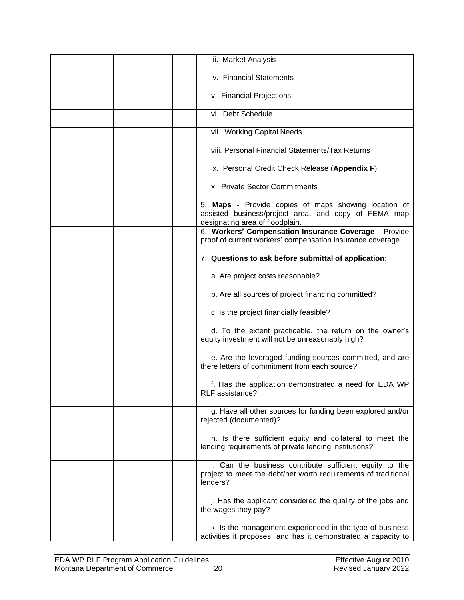| iii. Market Analysis                                                                                                                                                                                     |
|----------------------------------------------------------------------------------------------------------------------------------------------------------------------------------------------------------|
| iv. Financial Statements                                                                                                                                                                                 |
| v. Financial Projections                                                                                                                                                                                 |
| vi. Debt Schedule                                                                                                                                                                                        |
| vii. Working Capital Needs                                                                                                                                                                               |
| viii. Personal Financial Statements/Tax Returns                                                                                                                                                          |
| ix. Personal Credit Check Release (Appendix F)                                                                                                                                                           |
| x. Private Sector Commitments                                                                                                                                                                            |
| 5. Maps - Provide copies of maps showing location of<br>assisted business/project area, and copy of FEMA map<br>designating area of floodplain.<br>6. Workers' Compensation Insurance Coverage - Provide |
| proof of current workers' compensation insurance coverage.                                                                                                                                               |
| 7. Questions to ask before submittal of application:                                                                                                                                                     |
| a. Are project costs reasonable?                                                                                                                                                                         |
| b. Are all sources of project financing committed?                                                                                                                                                       |
| c. Is the project financially feasible?                                                                                                                                                                  |
| d. To the extent practicable, the return on the owner's<br>equity investment will not be unreasonably high?                                                                                              |
| e. Are the leveraged funding sources committed, and are<br>there letters of commitment from each source?                                                                                                 |
| f. Has the application demonstrated a need for EDA WP<br>RLF assistance?                                                                                                                                 |
| g. Have all other sources for funding been explored and/or<br>rejected (documented)?                                                                                                                     |
| h. Is there sufficient equity and collateral to meet the<br>lending requirements of private lending institutions?                                                                                        |
| i. Can the business contribute sufficient equity to the<br>project to meet the debt/net worth requirements of traditional<br>lenders?                                                                    |
| j. Has the applicant considered the quality of the jobs and<br>the wages they pay?                                                                                                                       |
| k. Is the management experienced in the type of business<br>activities it proposes, and has it demonstrated a capacity to                                                                                |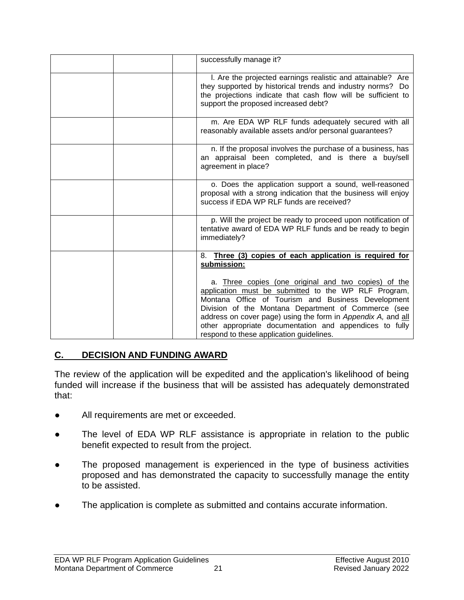| successfully manage it?                                                                                                                                                                                                                                                                                                                                                                          |
|--------------------------------------------------------------------------------------------------------------------------------------------------------------------------------------------------------------------------------------------------------------------------------------------------------------------------------------------------------------------------------------------------|
| I. Are the projected earnings realistic and attainable? Are<br>they supported by historical trends and industry norms? Do<br>the projections indicate that cash flow will be sufficient to<br>support the proposed increased debt?                                                                                                                                                               |
| m. Are EDA WP RLF funds adequately secured with all<br>reasonably available assets and/or personal guarantees?                                                                                                                                                                                                                                                                                   |
| n. If the proposal involves the purchase of a business, has<br>an appraisal been completed, and is there a buy/sell<br>agreement in place?                                                                                                                                                                                                                                                       |
| o. Does the application support a sound, well-reasoned<br>proposal with a strong indication that the business will enjoy<br>success if EDA WP RLF funds are received?                                                                                                                                                                                                                            |
| p. Will the project be ready to proceed upon notification of<br>tentative award of EDA WP RLF funds and be ready to begin<br>immediately?                                                                                                                                                                                                                                                        |
| Three (3) copies of each application is required for<br>8.<br>submission:                                                                                                                                                                                                                                                                                                                        |
| a. Three copies (one original and two copies) of the<br>application must be submitted to the WP RLF Program,<br>Montana Office of Tourism and Business Development<br>Division of the Montana Department of Commerce (see<br>address on cover page) using the form in Appendix A, and all<br>other appropriate documentation and appendices to fully<br>respond to these application guidelines. |

# <span id="page-23-0"></span>**C. DECISION AND FUNDING AWARD**

The review of the application will be expedited and the application's likelihood of being funded will increase if the business that will be assisted has adequately demonstrated that:

- **●** All requirements are met or exceeded.
- The level of EDA WP RLF assistance is appropriate in relation to the public benefit expected to result from the project.
- **●** The proposed management is experienced in the type of business activities proposed and has demonstrated the capacity to successfully manage the entity to be assisted.
- The application is complete as submitted and contains accurate information.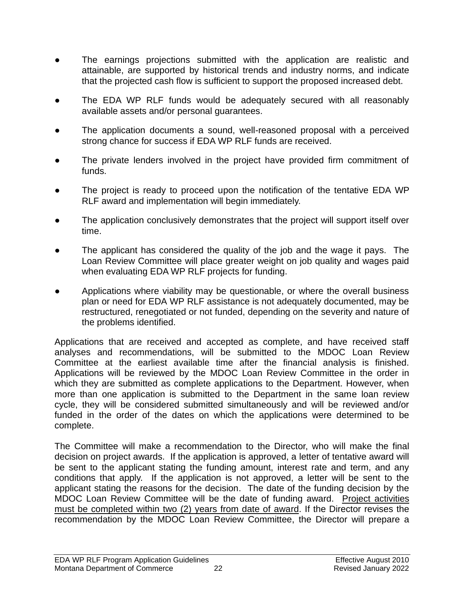- **●** The earnings projections submitted with the application are realistic and attainable, are supported by historical trends and industry norms, and indicate that the projected cash flow is sufficient to support the proposed increased debt.
- **●** The EDA WP RLF funds would be adequately secured with all reasonably available assets and/or personal guarantees.
- The application documents a sound, well-reasoned proposal with a perceived strong chance for success if EDA WP RLF funds are received.
- The private lenders involved in the project have provided firm commitment of funds.
- The project is ready to proceed upon the notification of the tentative EDA WP RLF award and implementation will begin immediately.
- The application conclusively demonstrates that the project will support itself over time.
- The applicant has considered the quality of the job and the wage it pays. The Loan Review Committee will place greater weight on job quality and wages paid when evaluating EDA WP RLF projects for funding.
- **●** Applications where viability may be questionable, or where the overall business plan or need for EDA WP RLF assistance is not adequately documented, may be restructured, renegotiated or not funded, depending on the severity and nature of the problems identified.

Applications that are received and accepted as complete, and have received staff analyses and recommendations, will be submitted to the MDOC Loan Review Committee at the earliest available time after the financial analysis is finished. Applications will be reviewed by the MDOC Loan Review Committee in the order in which they are submitted as complete applications to the Department. However, when more than one application is submitted to the Department in the same loan review cycle, they will be considered submitted simultaneously and will be reviewed and/or funded in the order of the dates on which the applications were determined to be complete.

The Committee will make a recommendation to the Director, who will make the final decision on project awards. If the application is approved, a letter of tentative award will be sent to the applicant stating the funding amount, interest rate and term, and any conditions that apply. If the application is not approved, a letter will be sent to the applicant stating the reasons for the decision. The date of the funding decision by the MDOC Loan Review Committee will be the date of funding award. Project activities must be completed within two (2) years from date of award. If the Director revises the recommendation by the MDOC Loan Review Committee, the Director will prepare a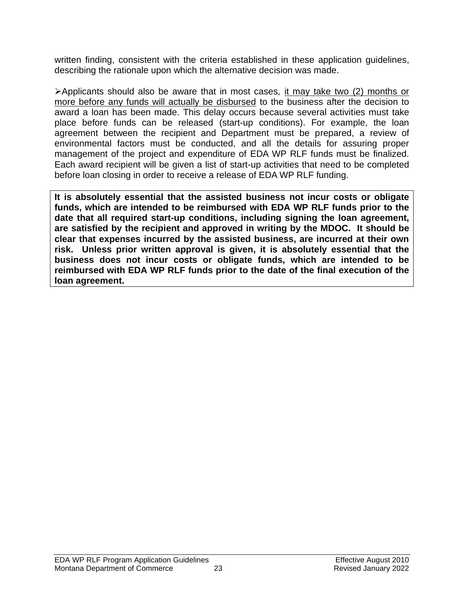written finding, consistent with the criteria established in these application guidelines, describing the rationale upon which the alternative decision was made.

➢Applicants should also be aware that in most cases, it may take two (2) months or more before any funds will actually be disbursed to the business after the decision to award a loan has been made. This delay occurs because several activities must take place before funds can be released (start-up conditions). For example, the loan agreement between the recipient and Department must be prepared, a review of environmental factors must be conducted, and all the details for assuring proper management of the project and expenditure of EDA WP RLF funds must be finalized. Each award recipient will be given a list of start-up activities that need to be completed before loan closing in order to receive a release of EDA WP RLF funding.

**It is absolutely essential that the assisted business not incur costs or obligate funds, which are intended to be reimbursed with EDA WP RLF funds prior to the date that all required start-up conditions, including signing the loan agreement, are satisfied by the recipient and approved in writing by the MDOC. It should be clear that expenses incurred by the assisted business, are incurred at their own risk. Unless prior written approval is given, it is absolutely essential that the business does not incur costs or obligate funds, which are intended to be reimbursed with EDA WP RLF funds prior to the date of the final execution of the loan agreement.**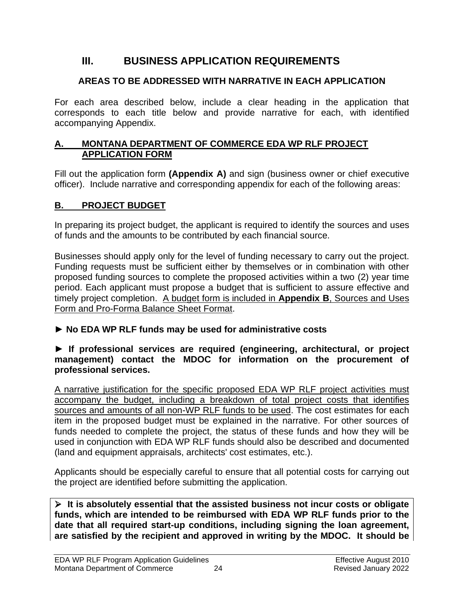# <span id="page-26-0"></span>**III. BUSINESS APPLICATION REQUIREMENTS**

# **AREAS TO BE ADDRESSED WITH NARRATIVE IN EACH APPLICATION**

For each area described below, include a clear heading in the application that corresponds to each title below and provide narrative for each, with identified accompanying Appendix.

#### <span id="page-26-1"></span>**A. MONTANA DEPARTMENT OF COMMERCE EDA WP RLF PROJECT APPLICATION FORM**

Fill out the application form **(Appendix A)** and sign (business owner or chief executive officer). Include narrative and corresponding appendix for each of the following areas:

# <span id="page-26-2"></span>**B. PROJECT BUDGET**

In preparing its project budget, the applicant is required to identify the sources and uses of funds and the amounts to be contributed by each financial source.

Businesses should apply only for the level of funding necessary to carry out the project. Funding requests must be sufficient either by themselves or in combination with other proposed funding sources to complete the proposed activities within a two (2) year time period. Each applicant must propose a budget that is sufficient to assure effective and timely project completion. A budget form is included in **Appendix B**, Sources and Uses Form and Pro-Forma Balance Sheet Format.

# ► **No EDA WP RLF funds may be used for administrative costs**

#### **► If professional services are required (engineering, architectural, or project management) contact the MDOC for information on the procurement of professional services.**

A narrative justification for the specific proposed EDA WP RLF project activities must accompany the budget, including a breakdown of total project costs that identifies sources and amounts of all non-WP RLF funds to be used. The cost estimates for each item in the proposed budget must be explained in the narrative. For other sources of funds needed to complete the project, the status of these funds and how they will be used in conjunction with EDA WP RLF funds should also be described and documented (land and equipment appraisals, architects' cost estimates, etc.).

Applicants should be especially careful to ensure that all potential costs for carrying out the project are identified before submitting the application.

➢ **It is absolutely essential that the assisted business not incur costs or obligate funds, which are intended to be reimbursed with EDA WP RLF funds prior to the date that all required start-up conditions, including signing the loan agreement, are satisfied by the recipient and approved in writing by the MDOC. It should be**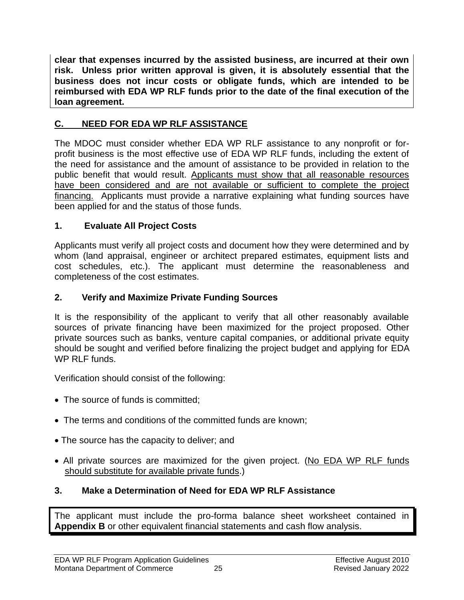**clear that expenses incurred by the assisted business, are incurred at their own risk. Unless prior written approval is given, it is absolutely essential that the business does not incur costs or obligate funds, which are intended to be reimbursed with EDA WP RLF funds prior to the date of the final execution of the loan agreement.**

# <span id="page-27-0"></span>**C. NEED FOR EDA WP RLF ASSISTANCE**

The MDOC must consider whether EDA WP RLF assistance to any nonprofit or forprofit business is the most effective use of EDA WP RLF funds, including the extent of the need for assistance and the amount of assistance to be provided in relation to the public benefit that would result. Applicants must show that all reasonable resources have been considered and are not available or sufficient to complete the project financing. Applicants must provide a narrative explaining what funding sources have been applied for and the status of those funds.

# **1. Evaluate All Project Costs**

Applicants must verify all project costs and document how they were determined and by whom (land appraisal, engineer or architect prepared estimates, equipment lists and cost schedules, etc.). The applicant must determine the reasonableness and completeness of the cost estimates.

#### **2. Verify and Maximize Private Funding Sources**

It is the responsibility of the applicant to verify that all other reasonably available sources of private financing have been maximized for the project proposed. Other private sources such as banks, venture capital companies, or additional private equity should be sought and verified before finalizing the project budget and applying for EDA WP RLF funds.

Verification should consist of the following:

- The source of funds is committed;
- The terms and conditions of the committed funds are known;
- The source has the capacity to deliver; and
- All private sources are maximized for the given project. (No EDA WP RLF funds should substitute for available private funds.)

# **3. Make a Determination of Need for EDA WP RLF Assistance**

The applicant must include the pro-forma balance sheet worksheet contained in **Appendix B** or other equivalent financial statements and cash flow analysis.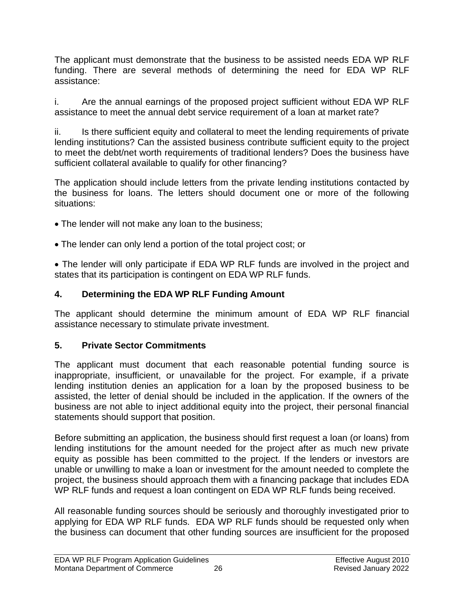The applicant must demonstrate that the business to be assisted needs EDA WP RLF funding. There are several methods of determining the need for EDA WP RLF assistance:

i. Are the annual earnings of the proposed project sufficient without EDA WP RLF assistance to meet the annual debt service requirement of a loan at market rate?

ii. Is there sufficient equity and collateral to meet the lending requirements of private lending institutions? Can the assisted business contribute sufficient equity to the project to meet the debt/net worth requirements of traditional lenders? Does the business have sufficient collateral available to qualify for other financing?

The application should include letters from the private lending institutions contacted by the business for loans. The letters should document one or more of the following situations:

- The lender will not make any loan to the business;
- The lender can only lend a portion of the total project cost; or

• The lender will only participate if EDA WP RLF funds are involved in the project and states that its participation is contingent on EDA WP RLF funds.

# **4. Determining the EDA WP RLF Funding Amount**

The applicant should determine the minimum amount of EDA WP RLF financial assistance necessary to stimulate private investment.

# **5. Private Sector Commitments**

The applicant must document that each reasonable potential funding source is inappropriate, insufficient, or unavailable for the project. For example, if a private lending institution denies an application for a loan by the proposed business to be assisted, the letter of denial should be included in the application. If the owners of the business are not able to inject additional equity into the project, their personal financial statements should support that position.

Before submitting an application, the business should first request a loan (or loans) from lending institutions for the amount needed for the project after as much new private equity as possible has been committed to the project. If the lenders or investors are unable or unwilling to make a loan or investment for the amount needed to complete the project, the business should approach them with a financing package that includes EDA WP RLF funds and request a loan contingent on EDA WP RLF funds being received.

All reasonable funding sources should be seriously and thoroughly investigated prior to applying for EDA WP RLF funds. EDA WP RLF funds should be requested only when the business can document that other funding sources are insufficient for the proposed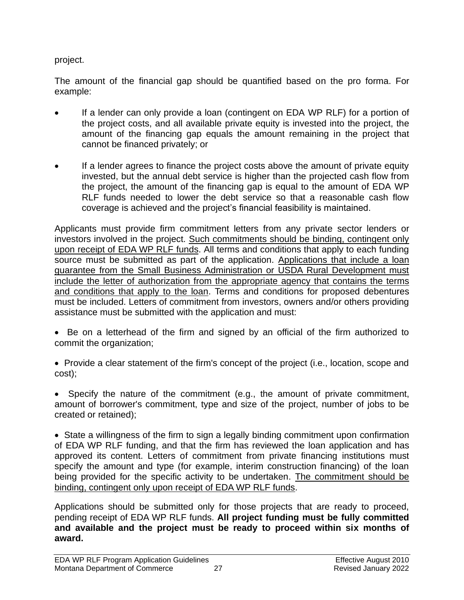project.

The amount of the financial gap should be quantified based on the pro forma. For example:

- If a lender can only provide a loan (contingent on EDA WP RLF) for a portion of the project costs, and all available private equity is invested into the project, the amount of the financing gap equals the amount remaining in the project that cannot be financed privately; or
- If a lender agrees to finance the project costs above the amount of private equity invested, but the annual debt service is higher than the projected cash flow from the project, the amount of the financing gap is equal to the amount of EDA WP RLF funds needed to lower the debt service so that a reasonable cash flow coverage is achieved and the project's financial feasibility is maintained.

Applicants must provide firm commitment letters from any private sector lenders or investors involved in the project. Such commitments should be binding, contingent only upon receipt of EDA WP RLF funds. All terms and conditions that apply to each funding source must be submitted as part of the application. Applications that include a loan guarantee from the Small Business Administration or USDA Rural Development must include the letter of authorization from the appropriate agency that contains the terms and conditions that apply to the loan. Terms and conditions for proposed debentures must be included. Letters of commitment from investors, owners and/or others providing assistance must be submitted with the application and must:

- Be on a letterhead of the firm and signed by an official of the firm authorized to commit the organization;
- Provide a clear statement of the firm's concept of the project (i.e., location, scope and cost);
- Specify the nature of the commitment (e.g., the amount of private commitment, amount of borrower's commitment, type and size of the project, number of jobs to be created or retained);

• State a willingness of the firm to sign a legally binding commitment upon confirmation of EDA WP RLF funding, and that the firm has reviewed the loan application and has approved its content. Letters of commitment from private financing institutions must specify the amount and type (for example, interim construction financing) of the loan being provided for the specific activity to be undertaken. The commitment should be binding, contingent only upon receipt of EDA WP RLF funds.

Applications should be submitted only for those projects that are ready to proceed, pending receipt of EDA WP RLF funds. **All project funding must be fully committed and available and the project must be ready to proceed within six months of award.**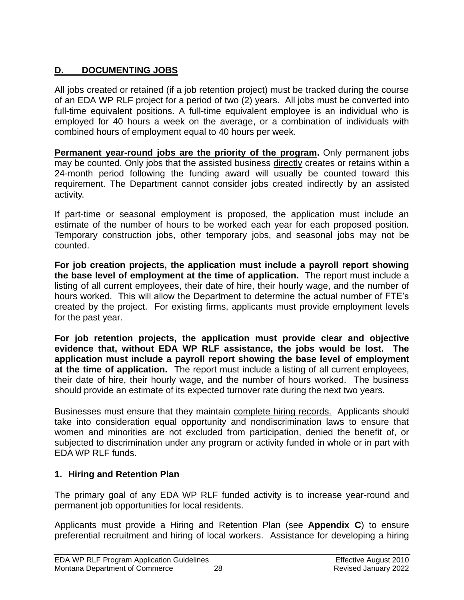# <span id="page-30-0"></span>**D. DOCUMENTING JOBS**

All jobs created or retained (if a job retention project) must be tracked during the course of an EDA WP RLF project for a period of two (2) years. All jobs must be converted into full-time equivalent positions. A full-time equivalent employee is an individual who is employed for 40 hours a week on the average, or a combination of individuals with combined hours of employment equal to 40 hours per week.

**Permanent year-round jobs are the priority of the program.** Only permanent jobs may be counted. Only jobs that the assisted business directly creates or retains within a 24-month period following the funding award will usually be counted toward this requirement. The Department cannot consider jobs created indirectly by an assisted activity.

If part-time or seasonal employment is proposed, the application must include an estimate of the number of hours to be worked each year for each proposed position. Temporary construction jobs, other temporary jobs, and seasonal jobs may not be counted.

**For job creation projects, the application must include a payroll report showing the base level of employment at the time of application.** The report must include a listing of all current employees, their date of hire, their hourly wage, and the number of hours worked. This will allow the Department to determine the actual number of FTE's created by the project. For existing firms, applicants must provide employment levels for the past year.

**For job retention projects, the application must provide clear and objective evidence that, without EDA WP RLF assistance, the jobs would be lost. The application must include a payroll report showing the base level of employment at the time of application.** The report must include a listing of all current employees, their date of hire, their hourly wage, and the number of hours worked. The business should provide an estimate of its expected turnover rate during the next two years.

Businesses must ensure that they maintain complete hiring records. Applicants should take into consideration equal opportunity and nondiscrimination laws to ensure that women and minorities are not excluded from participation, denied the benefit of, or subjected to discrimination under any program or activity funded in whole or in part with EDA WP RLF funds.

# **1. Hiring and Retention Plan**

The primary goal of any EDA WP RLF funded activity is to increase year-round and permanent job opportunities for local residents.

Applicants must provide a Hiring and Retention Plan (see **Appendix C**) to ensure preferential recruitment and hiring of local workers. Assistance for developing a hiring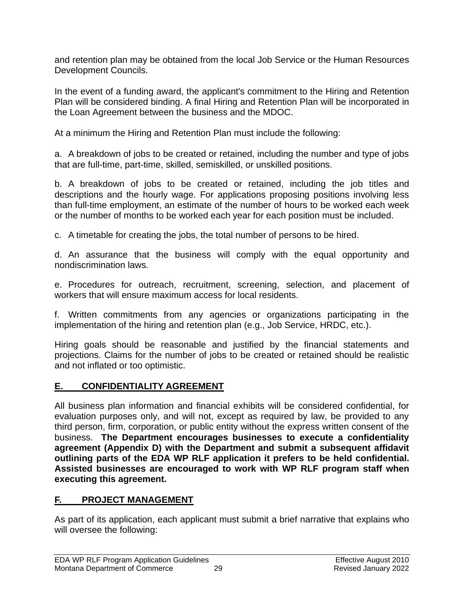and retention plan may be obtained from the local Job Service or the Human Resources Development Councils.

In the event of a funding award, the applicant's commitment to the Hiring and Retention Plan will be considered binding. A final Hiring and Retention Plan will be incorporated in the Loan Agreement between the business and the MDOC.

At a minimum the Hiring and Retention Plan must include the following:

a. A breakdown of jobs to be created or retained, including the number and type of jobs that are full-time, part-time, skilled, semiskilled, or unskilled positions.

b. A breakdown of jobs to be created or retained, including the job titles and descriptions and the hourly wage. For applications proposing positions involving less than full-time employment, an estimate of the number of hours to be worked each week or the number of months to be worked each year for each position must be included.

c. A timetable for creating the jobs, the total number of persons to be hired.

d. An assurance that the business will comply with the equal opportunity and nondiscrimination laws.

e. Procedures for outreach, recruitment, screening, selection, and placement of workers that will ensure maximum access for local residents.

f. Written commitments from any agencies or organizations participating in the implementation of the hiring and retention plan (e.g., Job Service, HRDC, etc.).

Hiring goals should be reasonable and justified by the financial statements and projections. Claims for the number of jobs to be created or retained should be realistic and not inflated or too optimistic.

# <span id="page-31-0"></span>**E. CONFIDENTIALITY AGREEMENT**

All business plan information and financial exhibits will be considered confidential, for evaluation purposes only, and will not, except as required by law, be provided to any third person, firm, corporation, or public entity without the express written consent of the business. **The Department encourages businesses to execute a confidentiality agreement (Appendix D) with the Department and submit a subsequent affidavit outlining parts of the EDA WP RLF application it prefers to be held confidential. Assisted businesses are encouraged to work with WP RLF program staff when executing this agreement.**

# <span id="page-31-1"></span>**F. PROJECT MANAGEMENT**

As part of its application, each applicant must submit a brief narrative that explains who will oversee the following: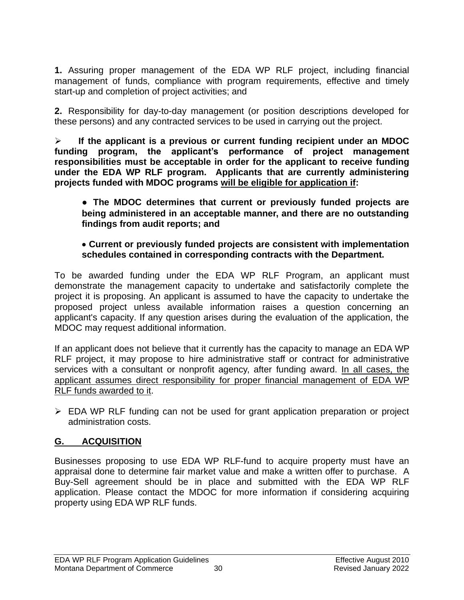**1.** Assuring proper management of the EDA WP RLF project, including financial management of funds, compliance with program requirements, effective and timely start-up and completion of project activities; and

**2.** Responsibility for day-to-day management (or position descriptions developed for these persons) and any contracted services to be used in carrying out the project.

➢ **If the applicant is a previous or current funding recipient under an MDOC funding program, the applicant's performance of project management responsibilities must be acceptable in order for the applicant to receive funding under the EDA WP RLF program. Applicants that are currently administering projects funded with MDOC programs will be eligible for application if:**

**● The MDOC determines that current or previously funded projects are being administered in an acceptable manner, and there are no outstanding findings from audit reports; and**

#### • **Current or previously funded projects are consistent with implementation schedules contained in corresponding contracts with the Department.**

To be awarded funding under the EDA WP RLF Program, an applicant must demonstrate the management capacity to undertake and satisfactorily complete the project it is proposing. An applicant is assumed to have the capacity to undertake the proposed project unless available information raises a question concerning an applicant's capacity. If any question arises during the evaluation of the application, the MDOC may request additional information.

If an applicant does not believe that it currently has the capacity to manage an EDA WP RLF project, it may propose to hire administrative staff or contract for administrative services with a consultant or nonprofit agency, after funding award. In all cases, the applicant assumes direct responsibility for proper financial management of EDA WP RLF funds awarded to it.

➢ EDA WP RLF funding can not be used for grant application preparation or project administration costs.

# <span id="page-32-0"></span>**G. ACQUISITION**

Businesses proposing to use EDA WP RLF-fund to acquire property must have an appraisal done to determine fair market value and make a written offer to purchase. A Buy-Sell agreement should be in place and submitted with the EDA WP RLF application. Please contact the MDOC for more information if considering acquiring property using EDA WP RLF funds.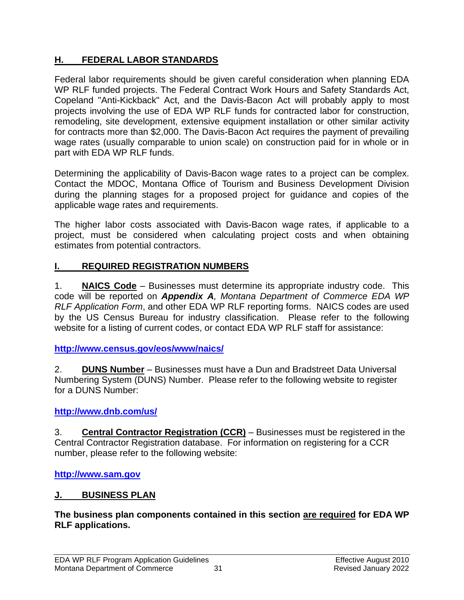# <span id="page-33-0"></span>**H. FEDERAL LABOR STANDARDS**

Federal labor requirements should be given careful consideration when planning EDA WP RLF funded projects. The Federal Contract Work Hours and Safety Standards Act, Copeland "Anti-Kickback" Act, and the Davis-Bacon Act will probably apply to most projects involving the use of EDA WP RLF funds for contracted labor for construction, remodeling, site development, extensive equipment installation or other similar activity for contracts more than \$2,000. The Davis-Bacon Act requires the payment of prevailing wage rates (usually comparable to union scale) on construction paid for in whole or in part with EDA WP RLF funds.

Determining the applicability of Davis-Bacon wage rates to a project can be complex. Contact the MDOC, Montana Office of Tourism and Business Development Division during the planning stages for a proposed project for guidance and copies of the applicable wage rates and requirements.

The higher labor costs associated with Davis-Bacon wage rates, if applicable to a project, must be considered when calculating project costs and when obtaining estimates from potential contractors.

# <span id="page-33-1"></span>**I. REQUIRED REGISTRATION NUMBERS**

1. **NAICS Code** – Businesses must determine its appropriate industry code. This code will be reported on *Appendix A, Montana Department of Commerce EDA WP RLF Application Form*, and other EDA WP RLF reporting forms. NAICS codes are used by the US Census Bureau for industry classification. Please refer to the following website for a listing of current codes, or contact EDA WP RLF staff for assistance:

**http://www.census.gov/eos/www/naics/**

2. **DUNS Number** – Businesses must have a Dun and Bradstreet Data Universal Numbering System (DUNS) Number. Please refer to the following website to register for a DUNS Number:

# **<http://www.dnb.com/us/>**

3. **Central Contractor Registration (CCR)** – Businesses must be registered in the Central Contractor Registration database. For information on registering for a CCR number, please refer to the following website:

**[http://www.sam.gov](http://www.ccr.gov/)**

# <span id="page-33-2"></span>**J. BUSINESS PLAN**

**The business plan components contained in this section are required for EDA WP RLF applications.**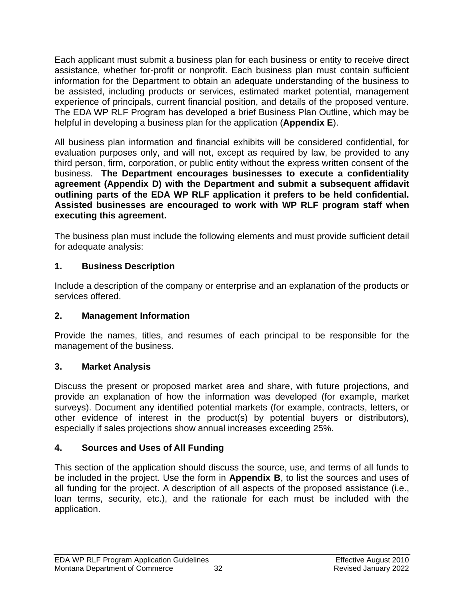Each applicant must submit a business plan for each business or entity to receive direct assistance, whether for-profit or nonprofit. Each business plan must contain sufficient information for the Department to obtain an adequate understanding of the business to be assisted, including products or services, estimated market potential, management experience of principals, current financial position, and details of the proposed venture. The EDA WP RLF Program has developed a brief Business Plan Outline, which may be helpful in developing a business plan for the application (**Appendix E**).

All business plan information and financial exhibits will be considered confidential, for evaluation purposes only, and will not, except as required by law, be provided to any third person, firm, corporation, or public entity without the express written consent of the business. **The Department encourages businesses to execute a confidentiality agreement (Appendix D) with the Department and submit a subsequent affidavit outlining parts of the EDA WP RLF application it prefers to be held confidential. Assisted businesses are encouraged to work with WP RLF program staff when executing this agreement.**

The business plan must include the following elements and must provide sufficient detail for adequate analysis:

# <span id="page-34-0"></span>**1. Business Description**

Include a description of the company or enterprise and an explanation of the products or services offered.

# <span id="page-34-1"></span>**2. Management Information**

Provide the names, titles, and resumes of each principal to be responsible for the management of the business.

# <span id="page-34-2"></span>**3. Market Analysis**

Discuss the present or proposed market area and share, with future projections, and provide an explanation of how the information was developed (for example, market surveys). Document any identified potential markets (for example, contracts, letters, or other evidence of interest in the product(s) by potential buyers or distributors), especially if sales projections show annual increases exceeding 25%.

# <span id="page-34-3"></span>**4. Sources and Uses of All Funding**

This section of the application should discuss the source, use, and terms of all funds to be included in the project. Use the form in **Appendix B**, to list the sources and uses of all funding for the project. A description of all aspects of the proposed assistance (i.e., loan terms, security, etc.), and the rationale for each must be included with the application.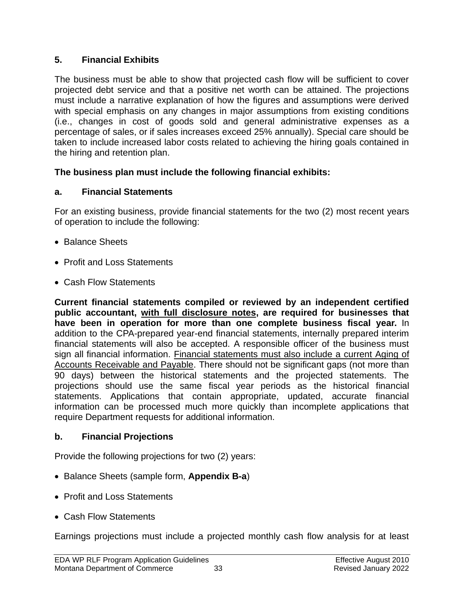# <span id="page-35-0"></span>**5. Financial Exhibits**

The business must be able to show that projected cash flow will be sufficient to cover projected debt service and that a positive net worth can be attained. The projections must include a narrative explanation of how the figures and assumptions were derived with special emphasis on any changes in major assumptions from existing conditions (i.e., changes in cost of goods sold and general administrative expenses as a percentage of sales, or if sales increases exceed 25% annually). Special care should be taken to include increased labor costs related to achieving the hiring goals contained in the hiring and retention plan.

# **The business plan must include the following financial exhibits:**

# <span id="page-35-1"></span>**a. Financial Statements**

For an existing business, provide financial statements for the two (2) most recent years of operation to include the following:

- Balance Sheets
- Profit and Loss Statements
- Cash Flow Statements

**Current financial statements compiled or reviewed by an independent certified public accountant, with full disclosure notes, are required for businesses that have been in operation for more than one complete business fiscal year.** In addition to the CPA-prepared year-end financial statements, internally prepared interim financial statements will also be accepted. A responsible officer of the business must sign all financial information. Financial statements must also include a current Aging of Accounts Receivable and Payable. There should not be significant gaps (not more than 90 days) between the historical statements and the projected statements. The projections should use the same fiscal year periods as the historical financial statements. Applications that contain appropriate, updated, accurate financial information can be processed much more quickly than incomplete applications that require Department requests for additional information.

# <span id="page-35-2"></span>**b. Financial Projections**

Provide the following projections for two (2) years:

- Balance Sheets (sample form, **Appendix B-a**)
- Profit and Loss Statements
- Cash Flow Statements

Earnings projections must include a projected monthly cash flow analysis for at least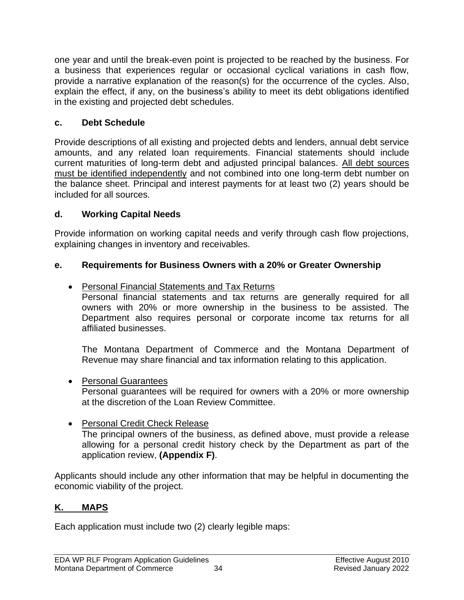one year and until the break-even point is projected to be reached by the business. For a business that experiences regular or occasional cyclical variations in cash flow, provide a narrative explanation of the reason(s) for the occurrence of the cycles. Also, explain the effect, if any, on the business's ability to meet its debt obligations identified in the existing and projected debt schedules.

# <span id="page-36-0"></span>**c. Debt Schedule**

Provide descriptions of all existing and projected debts and lenders, annual debt service amounts, and any related loan requirements. Financial statements should include current maturities of long-term debt and adjusted principal balances. All debt sources must be identified independently and not combined into one long-term debt number on the balance sheet. Principal and interest payments for at least two (2) years should be included for all sources.

# <span id="page-36-1"></span>**d. Working Capital Needs**

Provide information on working capital needs and verify through cash flow projections, explaining changes in inventory and receivables.

# <span id="page-36-2"></span>**e. Requirements for Business Owners with a 20% or Greater Ownership**

• Personal Financial Statements and Tax Returns

Personal financial statements and tax returns are generally required for all owners with 20% or more ownership in the business to be assisted. The Department also requires personal or corporate income tax returns for all affiliated businesses.

The Montana Department of Commerce and the Montana Department of Revenue may share financial and tax information relating to this application.

• Personal Guarantees

Personal guarantees will be required for owners with a 20% or more ownership at the discretion of the Loan Review Committee.

• Personal Credit Check Release The principal owners of the business, as defined above, must provide a release allowing for a personal credit history check by the Department as part of the application review, **(Appendix F)**.

Applicants should include any other information that may be helpful in documenting the economic viability of the project.

# <span id="page-36-3"></span>**K. MAPS**

Each application must include two (2) clearly legible maps: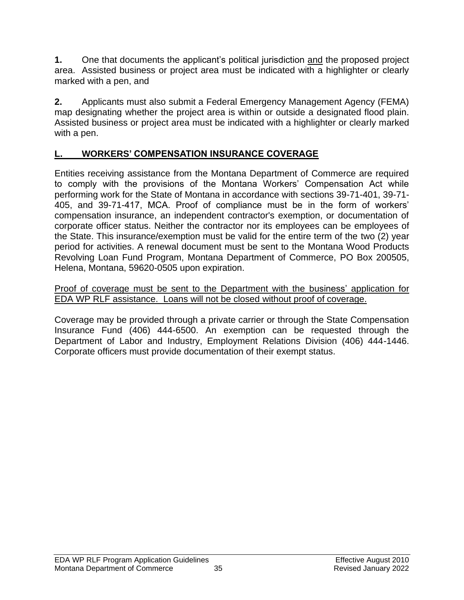**1.** One that documents the applicant's political jurisdiction and the proposed project area. Assisted business or project area must be indicated with a highlighter or clearly marked with a pen, and

**2.** Applicants must also submit a Federal Emergency Management Agency (FEMA) map designating whether the project area is within or outside a designated flood plain. Assisted business or project area must be indicated with a highlighter or clearly marked with a pen.

# <span id="page-37-0"></span>**L. WORKERS' COMPENSATION INSURANCE COVERAGE**

Entities receiving assistance from the Montana Department of Commerce are required to comply with the provisions of the Montana Workers' Compensation Act while performing work for the State of Montana in accordance with sections 39-71-401, 39-71- 405, and 39-71-417, MCA. Proof of compliance must be in the form of workers' compensation insurance, an independent contractor's exemption, or documentation of corporate officer status. Neither the contractor nor its employees can be employees of the State. This insurance/exemption must be valid for the entire term of the two (2) year period for activities. A renewal document must be sent to the Montana Wood Products Revolving Loan Fund Program, Montana Department of Commerce, PO Box 200505, Helena, Montana, 59620-0505 upon expiration.

Proof of coverage must be sent to the Department with the business' application for EDA WP RLF assistance. Loans will not be closed without proof of coverage.

Coverage may be provided through a private carrier or through the State Compensation Insurance Fund (406) 444-6500. An exemption can be requested through the Department of Labor and Industry, Employment Relations Division (406) 444-1446. Corporate officers must provide documentation of their exempt status.